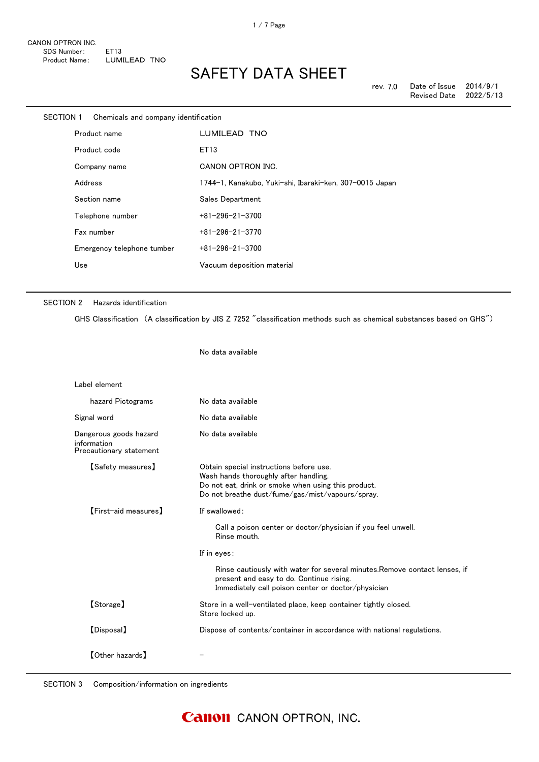| SECTION 1 | Chemicals and company identification |                                                         |
|-----------|--------------------------------------|---------------------------------------------------------|
|           | Product name                         | LUMILEAD TNO                                            |
|           | Product code                         | ET13                                                    |
|           | Company name                         | CANON OPTRON INC.                                       |
|           | Address                              | 1744-1, Kanakubo, Yuki-shi, Ibaraki-ken, 307-0015 Japan |
|           | Section name                         | Sales Department                                        |
|           | Telephone number                     | $+81 - 296 - 21 - 3700$                                 |
|           | Fax number                           | $+81 - 296 - 21 - 3770$                                 |
|           | Emergency telephone tumber           | $+81 - 296 - 21 - 3700$                                 |
|           | Use                                  | Vacuum deposition material                              |
|           |                                      |                                                         |

#### SECTION 2 Hazards identification

GHS Classification (A classification by JIS Z 7252 "classification methods such as chemical substances based on GHS")

No data available

| Label element                                                    |                                                                                                                                                                                             |
|------------------------------------------------------------------|---------------------------------------------------------------------------------------------------------------------------------------------------------------------------------------------|
| hazard Pictograms                                                | No data available                                                                                                                                                                           |
| Signal word                                                      | No data available                                                                                                                                                                           |
| Dangerous goods hazard<br>information<br>Precautionary statement | No data available                                                                                                                                                                           |
| [Safety measures]                                                | Obtain special instructions before use.<br>Wash hands thoroughly after handling.<br>Do not eat, drink or smoke when using this product.<br>Do not breathe dust/fume/gas/mist/vapours/spray. |
| [First-aid measures]                                             | If swallowed:                                                                                                                                                                               |
|                                                                  | Call a poison center or doctor/physician if you feel unwell.<br>Rinse mouth.                                                                                                                |
|                                                                  | If in eyes:                                                                                                                                                                                 |
|                                                                  | Rinse cautiously with water for several minutes. Remove contact lenses, if<br>present and easy to do. Continue rising.<br>Immediately call poison center or doctor/physician                |
| [Storage]                                                        | Store in a well-ventilated place, keep container tightly closed.<br>Store locked up.                                                                                                        |
| [Disposal]                                                       | Dispose of contents/container in accordance with national regulations.                                                                                                                      |
| <b>[Other hazards]</b>                                           |                                                                                                                                                                                             |

SECTION 3 Composition/information on ingredients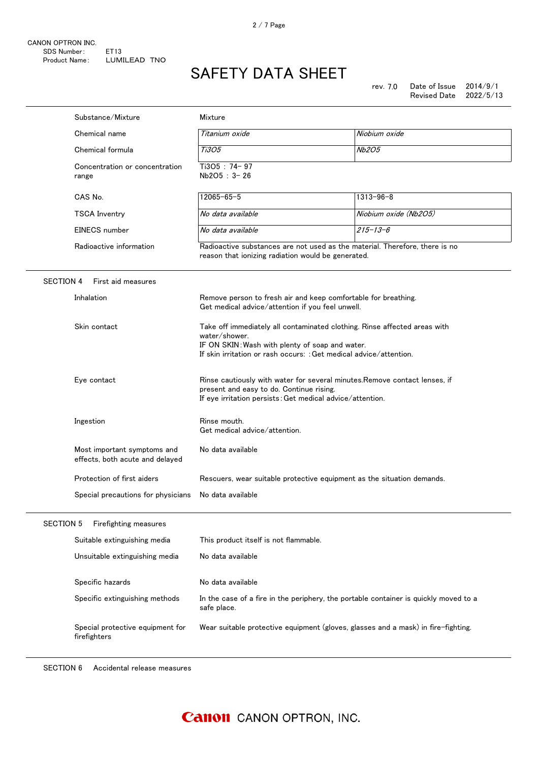|                  | Substance/Mixture                                              | Mixture                                                                                                                                                                                                             |                       |  |
|------------------|----------------------------------------------------------------|---------------------------------------------------------------------------------------------------------------------------------------------------------------------------------------------------------------------|-----------------------|--|
|                  | Chemical name                                                  | Titanium oxide                                                                                                                                                                                                      | Niobium oxide         |  |
|                  | Chemical formula                                               | Ti3O5                                                                                                                                                                                                               | <b>Nb2O5</b>          |  |
|                  | Concentration or concentration<br>range                        | Ti3O5: 74-97<br>Nb2O5: 3-26                                                                                                                                                                                         |                       |  |
|                  | CAS No.                                                        | $12065 - 65 - 5$                                                                                                                                                                                                    | $1313 - 96 - 8$       |  |
|                  | <b>TSCA Inventry</b>                                           | No data available                                                                                                                                                                                                   | Niobium oxide (Nb2O5) |  |
|                  | <b>EINECS</b> number                                           | No data available                                                                                                                                                                                                   | $215 - 13 - 6$        |  |
|                  | Radioactive information                                        | Radioactive substances are not used as the material. Therefore, there is no<br>reason that ionizing radiation would be generated.                                                                                   |                       |  |
| <b>SECTION 4</b> | First aid measures                                             |                                                                                                                                                                                                                     |                       |  |
|                  | Inhalation                                                     | Remove person to fresh air and keep comfortable for breathing.<br>Get medical advice/attention if you feel unwell.                                                                                                  |                       |  |
|                  | Skin contact                                                   | Take off immediately all contaminated clothing. Rinse affected areas with<br>water/shower.<br>IF ON SKIN: Wash with plenty of soap and water.<br>If skin irritation or rash occurs: : Get medical advice/attention. |                       |  |
|                  | Eye contact                                                    | Rinse cautiously with water for several minutes. Remove contact lenses, if<br>present and easy to do. Continue rising.<br>If eye irritation persists: Get medical advice/attention.                                 |                       |  |
|                  | Ingestion                                                      | Rinse mouth.<br>Get medical advice/attention.                                                                                                                                                                       |                       |  |
|                  | Most important symptoms and<br>effects, both acute and delayed | No data available                                                                                                                                                                                                   |                       |  |
|                  | Protection of first aiders                                     | Rescuers, wear suitable protective equipment as the situation demands.                                                                                                                                              |                       |  |
|                  | Special precautions for physicians                             | No data available                                                                                                                                                                                                   |                       |  |
| <b>SECTION 5</b> | Firefighting measures                                          |                                                                                                                                                                                                                     |                       |  |
|                  | Suitable extinguishing media                                   | This product itself is not flammable.                                                                                                                                                                               |                       |  |
|                  | Unsuitable extinguishing media                                 | No data available                                                                                                                                                                                                   |                       |  |
|                  | Specific hazards                                               | No data available                                                                                                                                                                                                   |                       |  |
|                  | Specific extinguishing methods                                 | In the case of a fire in the periphery, the portable container is quickly moved to a<br>safe place.                                                                                                                 |                       |  |
|                  | Special protective equipment for<br>firefighters               | Wear suitable protective equipment (gloves, glasses and a mask) in fire-fighting.                                                                                                                                   |                       |  |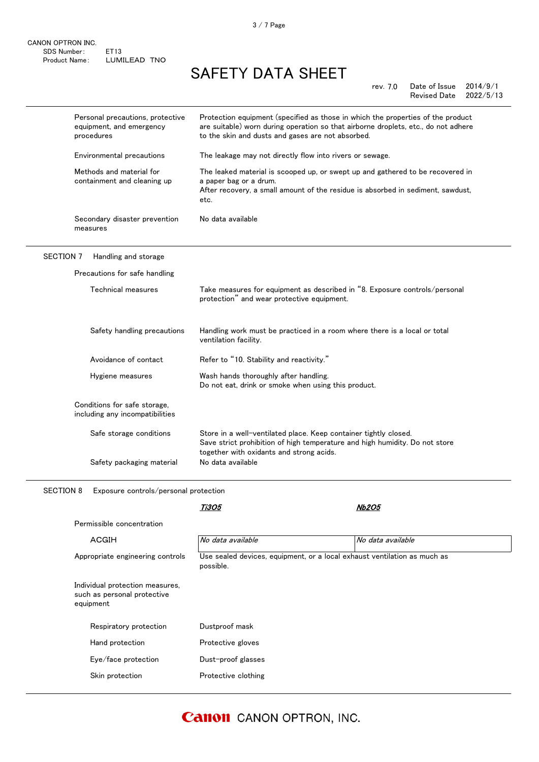| Personal precautions, protective<br>equipment, and emergency<br>procedures | Protection equipment (specified as those in which the properties of the product<br>are suitable) worn during operation so that airborne droplets, etc., do not adhere<br>to the skin and dusts and gases are not absorbed.<br>The leakage may not directly flow into rivers or sewage. |  |
|----------------------------------------------------------------------------|----------------------------------------------------------------------------------------------------------------------------------------------------------------------------------------------------------------------------------------------------------------------------------------|--|
| Environmental precautions                                                  |                                                                                                                                                                                                                                                                                        |  |
| Methods and material for<br>containment and cleaning up                    | The leaked material is scooped up, or swept up and gathered to be recovered in<br>a paper bag or a drum.<br>After recovery, a small amount of the residue is absorbed in sediment, sawdust,<br>etc.                                                                                    |  |
| Secondary disaster prevention<br>measures                                  | No data available                                                                                                                                                                                                                                                                      |  |
| <b>SECTION 7</b><br>Handling and storage                                   |                                                                                                                                                                                                                                                                                        |  |
| Precautions for safe handling                                              |                                                                                                                                                                                                                                                                                        |  |
| Technical measures                                                         | Take measures for equipment as described in "8. Exposure controls/personal<br>protection" and wear protective equipment.                                                                                                                                                               |  |
| Safety handling precautions                                                | Handling work must be practiced in a room where there is a local or total<br>ventilation facility.                                                                                                                                                                                     |  |
| Avoidance of contact                                                       | Refer to "10. Stability and reactivity."                                                                                                                                                                                                                                               |  |
| Hygiene measures                                                           | Wash hands thoroughly after handling.<br>Do not eat, drink or smoke when using this product.                                                                                                                                                                                           |  |
| Conditions for safe storage,<br>including any incompatibilities            |                                                                                                                                                                                                                                                                                        |  |
| Safe storage conditions                                                    | Store in a well-ventilated place. Keep container tightly closed.<br>Save strict prohibition of high temperature and high humidity. Do not store<br>together with oxidants and strong acids.                                                                                            |  |
| Safety packaging material                                                  | No data available                                                                                                                                                                                                                                                                      |  |

SECTION 8 Exposure controls/personal protection

|                                                                             | Ti3O5               | <i><b>Nb2O5</b></i>                                                      |  |
|-----------------------------------------------------------------------------|---------------------|--------------------------------------------------------------------------|--|
| Permissible concentration                                                   |                     |                                                                          |  |
| <b>ACGIH</b>                                                                | No data available   | No data available                                                        |  |
| Appropriate engineering controls                                            | possible.           | Use sealed devices, equipment, or a local exhaust ventilation as much as |  |
| Individual protection measures,<br>such as personal protective<br>equipment |                     |                                                                          |  |
| Respiratory protection                                                      | Dustproof mask      |                                                                          |  |
| Hand protection                                                             | Protective gloves   |                                                                          |  |
| Eye/face protection                                                         | Dust-proof glasses  |                                                                          |  |
| Skin protection                                                             | Protective clothing |                                                                          |  |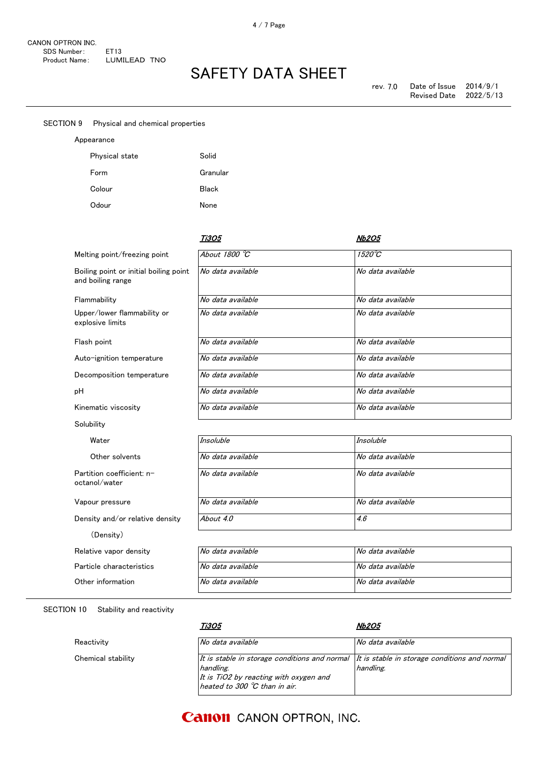| <b>SECTION 9</b> | Physical and chemical properties                            |                     |                   |
|------------------|-------------------------------------------------------------|---------------------|-------------------|
|                  | Appearance                                                  |                     |                   |
|                  | Physical state                                              | Solid               |                   |
|                  | Form                                                        | Granular            |                   |
|                  | Colour                                                      | <b>Black</b>        |                   |
|                  | Odour                                                       | None                |                   |
|                  |                                                             |                     |                   |
|                  |                                                             | <i><b>Ti3O5</b></i> | <b>Nb2O5</b>      |
|                  | Melting point/freezing point                                | About 1800 °C       | $1520^{\circ}C$   |
|                  | Boiling point or initial boiling point<br>and boiling range | No data available   | No data available |
|                  | Flammability                                                | No data available   | No data available |
|                  | Upper/lower flammability or<br>explosive limits             | No data available   | No data available |
|                  | Flash point                                                 | No data available   | No data available |
|                  | Auto-ignition temperature                                   | No data available   | No data available |
|                  | Decomposition temperature                                   | No data available   | No data available |
| pH               |                                                             | No data available   | No data available |
|                  | Kinematic viscosity                                         | No data available   | No data available |
|                  | Solubility                                                  |                     |                   |
|                  | Water                                                       | <b>Insoluble</b>    | <b>Insoluble</b>  |
|                  | Other solvents                                              | No data available   | No data available |
|                  | Partition coefficient: n-<br>octanol/water                  | No data available   | No data available |

Vapour pressure Density and/or relative density (Density)

| Relative vapor density   | No data available | No data available |
|--------------------------|-------------------|-------------------|
| Particle characteristics | No data available | No data available |
| Other information        | No data available | No data available |

| Other solvents                             | No data available | No data available |  |
|--------------------------------------------|-------------------|-------------------|--|
| Partition coefficient: n-<br>octanol/water | No data available | No data available |  |
| Vapour pressure                            | No data available | No data available |  |
| Density and/or relative density            | About 4.0         | 4.6               |  |
| (Density)                                  |                   |                   |  |
| Relative vapor density                     | No data available | No data available |  |
| Particle characteristics                   | No data available | No data available |  |
|                                            |                   |                   |  |

SECTION 10 Stability and reactivity

Chemical stability

Reactivity

| Ti3O5                                                                                                                                           | <i><b>Nb2O5</b></i>                                        |
|-------------------------------------------------------------------------------------------------------------------------------------------------|------------------------------------------------------------|
| No data available                                                                                                                               | No data available                                          |
| It is stable in storage conditions and normal<br>handling.<br>It is TiO2 by reacting with oxygen and<br>heated to 300 $^{\circ}$ C than in air. | It is stable in storage conditions and normal<br>handling. |

### **Canon** CANON OPTRON, INC.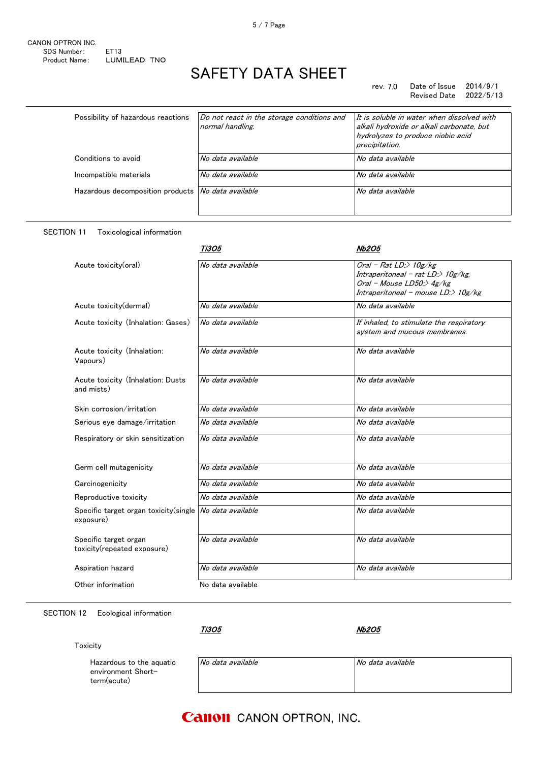#### rev. 7.0 Date of Issue 2014/9/1<br>Revised Date 2022/5/13 Revised Date

| Possibility of hazardous reactions                        | Do not react in the storage conditions and<br>normal handling. | It is soluble in water when dissolved with<br>alkali hydroxide or alkali carbonate, but<br>hydrolyzes to produce niobic acid<br>precipitation. |
|-----------------------------------------------------------|----------------------------------------------------------------|------------------------------------------------------------------------------------------------------------------------------------------------|
| Conditions to avoid                                       | No data available                                              | No data available                                                                                                                              |
| Incompatible materials                                    | No data available                                              | No data available                                                                                                                              |
| Hazardous decomposition products <i>No data available</i> |                                                                | No data available                                                                                                                              |

#### SECTION 11 Toxicological information

### Ti3O5 Nb2O5 Acute toxicity(oral)  $\sqrt{N}$  *No data available*  $\sqrt{OraI - Rat}$  *LD:>* 10g/kg Intraperitoneal - rat LD:> 10g/kg, Oral - Mouse LD50:> 4g/kg Intraperitoneal - mouse  $LD$ :>  $10g/kg$ Acute toxicity(dermal)  $\overline{N}$  No data available  $\overline{N}$  No data available Acute toxicity (Inhalation: Gases)  $\boxed{No\ data\ available}$  If inhaled, to stimulate the respiratory system and mucous membranes. Acute toxicity (Inhalation: Vapours) No data available **No data** available Acute toxicity (Inhalation: Dusts and mists) No data available No data available Skin corrosion/irritation  $\bigvee$  No data available  $\bigvee$  No data available Serious eye damage/irritation Mo data available No data available Respiratory or skin sensitization No data available No data available No data available Germ cell mutagenicity **No data available** No data available No data available Carcinogenicity  $\bigwedge$  No data available  $\bigwedge$  No data available Reproductive toxicity  $\begin{array}{ccc} \vert \textit{No data available} \end{array}$  No data available Specific target organ toxicity(single exposure) No data available No data available Specific target organ toxicity(repeated exposure) No data available **No data available** No data available Aspiration hazard **No data available** No data available No data available Other information No data available

#### SECTION 12 Ecological information

Ti3O5

Nb2O5

#### **Toxicity**

Hazardous to environment S term(acute)

| the aquatic | No data available | No data available |
|-------------|-------------------|-------------------|
| ihort−      |                   |                   |
|             |                   |                   |
|             |                   |                   |

### **Canon** CANON OPTRON, INC.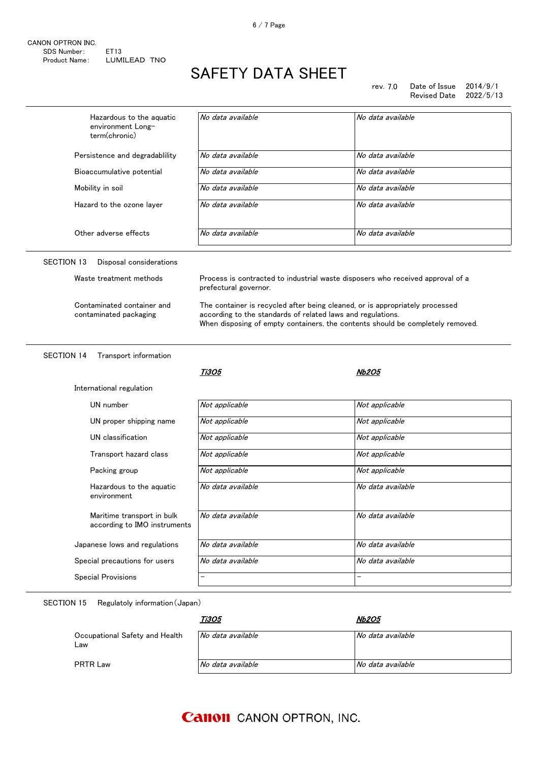| CANON OPTRON INC. |              |  |
|-------------------|--------------|--|
| SDS Number:       | FT13         |  |
| Product Name:     | LUMILEAD TNO |  |

rev. 7.0 Date of Issue 2014/9/1 Revised Date 2022/5/13

| Hazardous to the aquatic<br>environment Long-<br>term(chronic) | No data available                                                                                                                                                                                                             | No data available |
|----------------------------------------------------------------|-------------------------------------------------------------------------------------------------------------------------------------------------------------------------------------------------------------------------------|-------------------|
| Persistence and degradablility                                 | No data available                                                                                                                                                                                                             | No data available |
| Bioaccumulative potential                                      | No data available                                                                                                                                                                                                             | No data available |
| Mobility in soil                                               | No data available                                                                                                                                                                                                             | No data available |
| Hazard to the ozone layer                                      | No data available                                                                                                                                                                                                             | No data available |
| Other adverse effects                                          | No data available                                                                                                                                                                                                             | No data available |
| <b>SECTION 13</b><br>Disposal considerations                   |                                                                                                                                                                                                                               |                   |
| Waste treatment methods                                        | Process is contracted to industrial waste disposers who received approval of a<br>prefectural governor.                                                                                                                       |                   |
| Contaminated container and<br>contaminated packaging           | The container is recycled after being cleaned, or is appropriately processed<br>according to the standards of related laws and regulations.<br>When disposing of empty containers, the contents should be completely removed. |                   |
|                                                                |                                                                                                                                                                                                                               |                   |
| <b>SECTION 14</b><br>Transport information                     |                                                                                                                                                                                                                               |                   |
|                                                                | <i><b>Ti3O5</b></i>                                                                                                                                                                                                           | <b>Nb2O5</b>      |
| International regulation                                       |                                                                                                                                                                                                                               |                   |
| UN number                                                      | Not applicable                                                                                                                                                                                                                | Not applicable    |
| UN proper shipping name                                        | Not applicable                                                                                                                                                                                                                | Not applicable    |
| UN classification                                              | Not applicable                                                                                                                                                                                                                | Not applicable    |
| Transport hazard class                                         | Not applicable                                                                                                                                                                                                                | Not applicable    |
| Packing group                                                  | Not applicable                                                                                                                                                                                                                | Not applicable    |
| Hazardous to the aquatic<br>environment                        | No data available                                                                                                                                                                                                             | No data available |
| Maritime transport in bulk<br>according to IMO instruments     | No data available                                                                                                                                                                                                             | No data available |
| Japanese lows and regulations                                  | No data available                                                                                                                                                                                                             | No data available |
| Special precautions for users                                  | No data available                                                                                                                                                                                                             | No data available |

SECTION 15 Regulatoly information(Japan)

|                                       | Ti3O5             | <b>Nb2O5</b>      |
|---------------------------------------|-------------------|-------------------|
| Occupational Safety and Health<br>Law | No data available | No data available |
| <b>PRTR Law</b>                       | No data available | No data available |